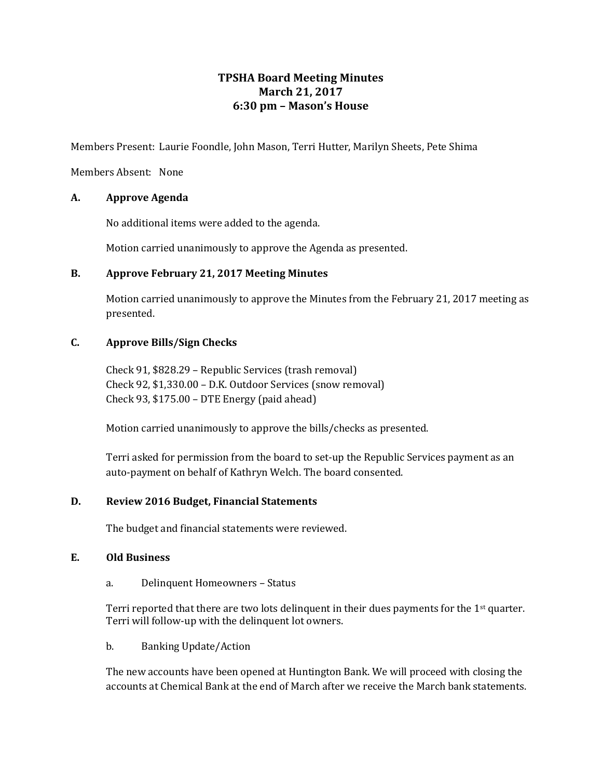# **TPSHA Board Meeting Minutes March 21, 2017 6:30 pm – Mason's House**

Members Present: Laurie Foondle, John Mason, Terri Hutter, Marilyn Sheets, Pete Shima

Members Absent: None

## **A. Approve Agenda**

No additional items were added to the agenda.

Motion carried unanimously to approve the Agenda as presented.

## **B. Approve February 21, 2017 Meeting Minutes**

Motion carried unanimously to approve the Minutes from the February 21, 2017 meeting as presented.

## **C. Approve Bills/Sign Checks**

Check 91, \$828.29 – Republic Services (trash removal) Check 92, \$1,330.00 – D.K. Outdoor Services (snow removal) Check 93, \$175.00 – DTE Energy (paid ahead)

Motion carried unanimously to approve the bills/checks as presented.

Terri asked for permission from the board to set-up the Republic Services payment as an auto-payment on behalf of Kathryn Welch. The board consented.

# **D. Review 2016 Budget, Financial Statements**

The budget and financial statements were reviewed.

## **E. Old Business**

a. Delinquent Homeowners – Status

Terri reported that there are two lots delinquent in their dues payments for the  $1<sup>st</sup>$  quarter. Terri will follow-up with the delinquent lot owners.

b. Banking Update/Action

The new accounts have been opened at Huntington Bank. We will proceed with closing the accounts at Chemical Bank at the end of March after we receive the March bank statements.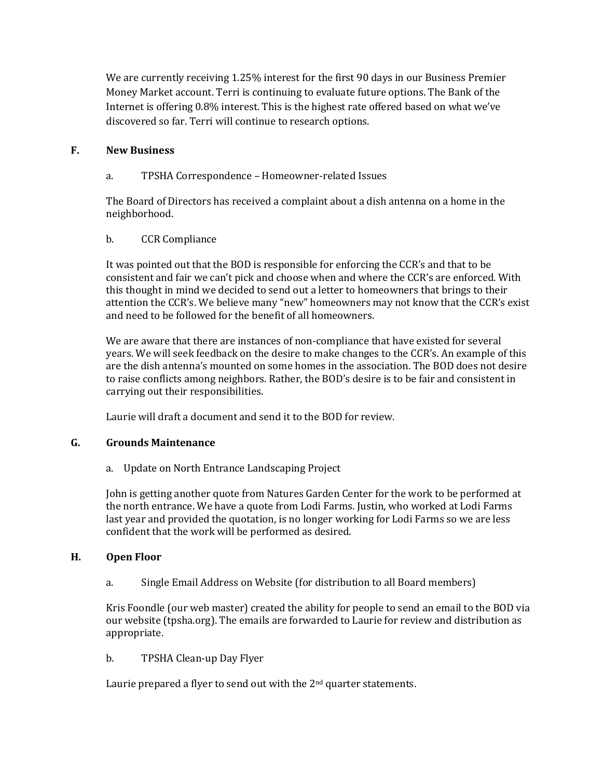We are currently receiving 1.25% interest for the first 90 days in our Business Premier Money Market account. Terri is continuing to evaluate future options. The Bank of the Internet is offering 0.8% interest. This is the highest rate offered based on what we've discovered so far. Terri will continue to research options.

## **F. New Business**

a. TPSHA Correspondence – Homeowner-related Issues

The Board of Directors has received a complaint about a dish antenna on a home in the neighborhood.

## b. CCR Compliance

It was pointed out that the BOD is responsible for enforcing the CCR's and that to be consistent and fair we can't pick and choose when and where the CCR's are enforced. With this thought in mind we decided to send out a letter to homeowners that brings to their attention the CCR's. We believe many "new" homeowners may not know that the CCR's exist and need to be followed for the benefit of all homeowners.

We are aware that there are instances of non-compliance that have existed for several years. We will seek feedback on the desire to make changes to the CCR's. An example of this are the dish antenna's mounted on some homes in the association. The BOD does not desire to raise conflicts among neighbors. Rather, the BOD's desire is to be fair and consistent in carrying out their responsibilities.

Laurie will draft a document and send it to the BOD for review.

#### **G. Grounds Maintenance**

a. Update on North Entrance Landscaping Project

John is getting another quote from Natures Garden Center for the work to be performed at the north entrance. We have a quote from Lodi Farms. Justin, who worked at Lodi Farms last year and provided the quotation, is no longer working for Lodi Farms so we are less confident that the work will be performed as desired.

#### **H. Open Floor**

a. Single Email Address on Website (for distribution to all Board members)

Kris Foondle (our web master) created the ability for people to send an email to the BOD via our website (tpsha.org). The emails are forwarded to Laurie for review and distribution as appropriate.

#### b. TPSHA Clean-up Day Flyer

Laurie prepared a flyer to send out with the  $2<sup>nd</sup>$  quarter statements.